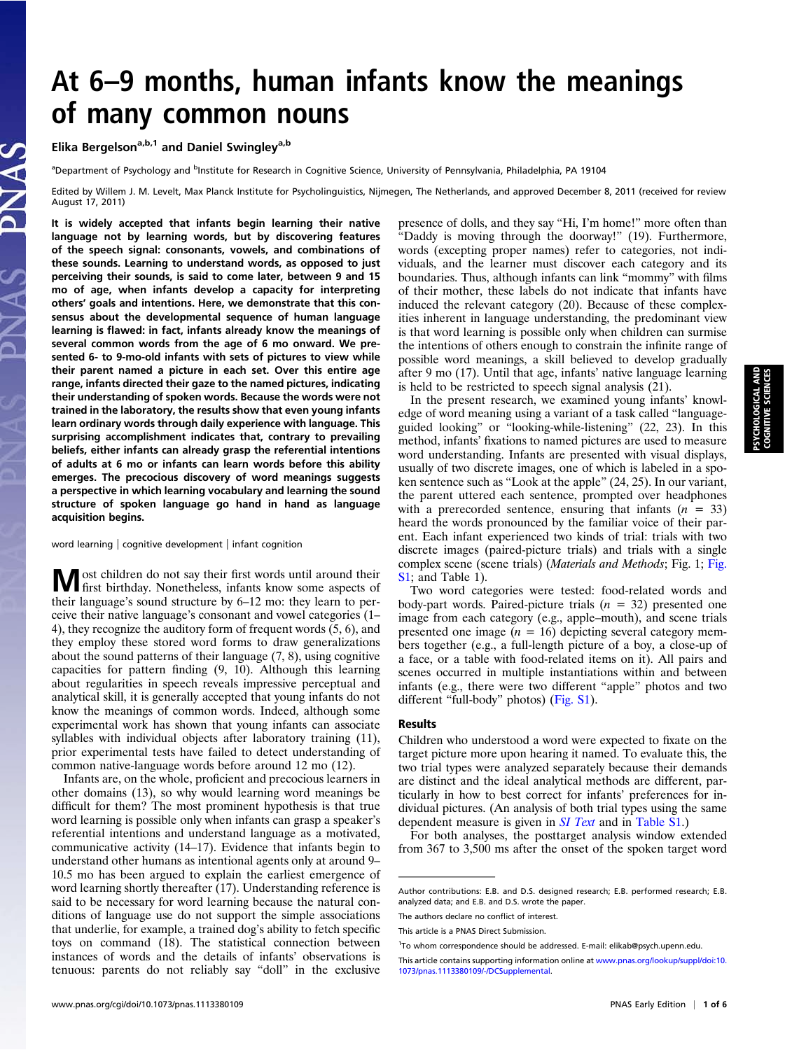# At 6–9 months, human infants know the meanings of many common nouns

Elika Bergelson<sup>a,b,1</sup> and Daniel Swingley<sup>a,b</sup>

<sup>a</sup>Department of Psychology and <sup>b</sup>Institute for Research in Cognitive Science, University of Pennsylvania, Philadelphia, PA 19104

Edited by Willem J. M. Levelt, Max Planck Institute for Psycholinguistics, Nijmegen, The Netherlands, and approved December 8, 2011 (received for review August 17, 2011)

It is widely accepted that infants begin learning their native language not by learning words, but by discovering features of the speech signal: consonants, vowels, and combinations of these sounds. Learning to understand words, as opposed to just perceiving their sounds, is said to come later, between 9 and 15 mo of age, when infants develop a capacity for interpreting others' goals and intentions. Here, we demonstrate that this consensus about the developmental sequence of human language learning is flawed: in fact, infants already know the meanings of several common words from the age of 6 mo onward. We presented 6- to 9-mo-old infants with sets of pictures to view while their parent named a picture in each set. Over this entire age range, infants directed their gaze to the named pictures, indicating their understanding of spoken words. Because the words were not trained in the laboratory, the results show that even young infants learn ordinary words through daily experience with language. This surprising accomplishment indicates that, contrary to prevailing beliefs, either infants can already grasp the referential intentions of adults at 6 mo or infants can learn words before this ability emerges. The precocious discovery of word meanings suggests a perspective in which learning vocabulary and learning the sound structure of spoken language go hand in hand as language acquisition begins.

word learning | cognitive development | infant cognition

Most children do not say their first words until around their first birthday. Nonetheless, infants know some aspects of their language's sound structure by 6–12 mo: they learn to perceive their native language's consonant and vowel categories (1– 4), they recognize the auditory form of frequent words (5, 6), and they employ these stored word forms to draw generalizations about the sound patterns of their language (7, 8), using cognitive capacities for pattern finding (9, 10). Although this learning about regularities in speech reveals impressive perceptual and analytical skill, it is generally accepted that young infants do not know the meanings of common words. Indeed, although some experimental work has shown that young infants can associate syllables with individual objects after laboratory training (11), prior experimental tests have failed to detect understanding of common native-language words before around 12 mo (12).

Infants are, on the whole, proficient and precocious learners in other domains (13), so why would learning word meanings be difficult for them? The most prominent hypothesis is that true word learning is possible only when infants can grasp a speaker's referential intentions and understand language as a motivated, communicative activity (14–17). Evidence that infants begin to understand other humans as intentional agents only at around 9– 10.5 mo has been argued to explain the earliest emergence of word learning shortly thereafter (17). Understanding reference is said to be necessary for word learning because the natural conditions of language use do not support the simple associations that underlie, for example, a trained dog's ability to fetch specific toys on command (18). The statistical connection between instances of words and the details of infants' observations is tenuous: parents do not reliably say "doll" in the exclusive presence of dolls, and they say "Hi, I'm home!" more often than "Daddy is moving through the doorway!" (19). Furthermore, words (excepting proper names) refer to categories, not individuals, and the learner must discover each category and its boundaries. Thus, although infants can link "mommy" with films of their mother, these labels do not indicate that infants have induced the relevant category (20). Because of these complexities inherent in language understanding, the predominant view is that word learning is possible only when children can surmise the intentions of others enough to constrain the infinite range of possible word meanings, a skill believed to develop gradually after 9 mo (17). Until that age, infants' native language learning is held to be restricted to speech signal analysis (21).

In the present research, we examined young infants' knowledge of word meaning using a variant of a task called "languageguided looking" or "looking-while-listening" (22, 23). In this method, infants' fixations to named pictures are used to measure word understanding. Infants are presented with visual displays, usually of two discrete images, one of which is labeled in a spoken sentence such as "Look at the apple" (24, 25). In our variant, the parent uttered each sentence, prompted over headphones with a prerecorded sentence, ensuring that infants  $(n = 33)$ heard the words pronounced by the familiar voice of their parent. Each infant experienced two kinds of trial: trials with two discrete images (paired-picture trials) and trials with a single complex scene (scene trials) (Materials and Methods; Fig. 1; [Fig.](http://www.pnas.org/lookup/suppl/doi:10.1073/pnas.1113380109/-/DCSupplemental/pnas.201113380SI.pdf?targetid=nameddest=SF1) [S1](http://www.pnas.org/lookup/suppl/doi:10.1073/pnas.1113380109/-/DCSupplemental/pnas.201113380SI.pdf?targetid=nameddest=SF1); and Table 1).

Two word categories were tested: food-related words and body-part words. Paired-picture trials  $(n = 32)$  presented one image from each category (e.g., apple–mouth), and scene trials presented one image  $(n = 16)$  depicting several category members together (e.g., a full-length picture of a boy, a close-up of a face, or a table with food-related items on it). All pairs and scenes occurred in multiple instantiations within and between infants (e.g., there were two different "apple" photos and two different "full-body" photos) [\(Fig. S1\)](http://www.pnas.org/lookup/suppl/doi:10.1073/pnas.1113380109/-/DCSupplemental/pnas.201113380SI.pdf?targetid=nameddest=SF1).

#### Results

Children who understood a word were expected to fixate on the target picture more upon hearing it named. To evaluate this, the two trial types were analyzed separately because their demands are distinct and the ideal analytical methods are different, particularly in how to best correct for infants' preferences for individual pictures. (An analysis of both trial types using the same dependent measure is given in *[SI Text](http://www.pnas.org/lookup/suppl/doi:10.1073/pnas.1113380109/-/DCSupplemental/pnas.201113380SI.pdf?targetid=nameddest=STXT)* and in [Table S1](http://www.pnas.org/lookup/suppl/doi:10.1073/pnas.1113380109/-/DCSupplemental/pnas.201113380SI.pdf?targetid=nameddest=ST1).)

For both analyses, the posttarget analysis window extended from 367 to 3,500 ms after the onset of the spoken target word

PSYCHOLOGICAL AND COGNITIVE SCIENCESSYCHOLOGICAL AND<br>COGNITIVE SCIENCES

Author contributions: E.B. and D.S. designed research; E.B. performed research; E.B. analyzed data; and E.B. and D.S. wrote the paper.

The authors declare no conflict of interest.

This article is a PNAS Direct Submission.

<sup>&</sup>lt;sup>1</sup>To whom correspondence should be addressed. E-mail: [elikab@psych.upenn.edu](mailto:elikab@psych.upenn.edu).

This article contains supporting information online at [www.pnas.org/lookup/suppl/doi:10.](http://www.pnas.org/lookup/suppl/doi:10.1073/pnas.1113380109/-/DCSupplemental) [1073/pnas.1113380109/-/DCSupplemental](http://www.pnas.org/lookup/suppl/doi:10.1073/pnas.1113380109/-/DCSupplemental).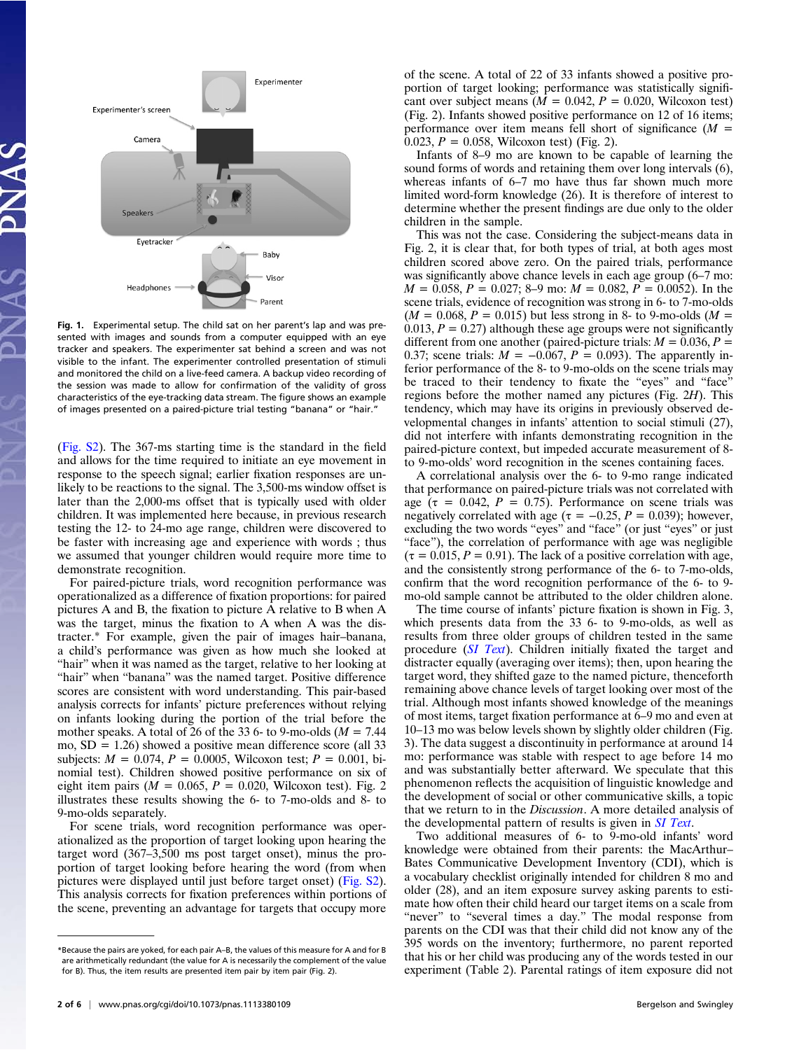Experimenter Experimenter's screen Camer. Speakers Evetracker Baby Viso Headphones Parent

Fig. 1. Experimental setup. The child sat on her parent's lap and was presented with images and sounds from a computer equipped with an eye tracker and speakers. The experimenter sat behind a screen and was not visible to the infant. The experimenter controlled presentation of stimuli and monitored the child on a live-feed camera. A backup video recording of the session was made to allow for confirmation of the validity of gross characteristics of the eye-tracking data stream. The figure shows an example of images presented on a paired-picture trial testing "banana" or "hair."

[\(Fig. S2](http://www.pnas.org/lookup/suppl/doi:10.1073/pnas.1113380109/-/DCSupplemental/pnas.201113380SI.pdf?targetid=nameddest=SF2)). The 367-ms starting time is the standard in the field and allows for the time required to initiate an eye movement in response to the speech signal; earlier fixation responses are unlikely to be reactions to the signal. The 3,500-ms window offset is later than the 2,000-ms offset that is typically used with older children. It was implemented here because, in previous research testing the 12- to 24-mo age range, children were discovered to be faster with increasing age and experience with words ; thus we assumed that younger children would require more time to demonstrate recognition.

For paired-picture trials, word recognition performance was operationalized as a difference of fixation proportions: for paired pictures A and B, the fixation to picture A relative to B when A was the target, minus the fixation to A when A was the distracter.\* For example, given the pair of images hair–banana, a child's performance was given as how much she looked at "hair" when it was named as the target, relative to her looking at "hair" when "banana" was the named target. Positive difference scores are consistent with word understanding. This pair-based analysis corrects for infants' picture preferences without relying on infants looking during the portion of the trial before the mother speaks. A total of 26 of the 33 6- to 9-mo-olds ( $M = 7.44$ ) mo,  $SD = 1.26$ ) showed a positive mean difference score (all 33 subjects:  $M = 0.074$ ,  $P = 0.0005$ , Wilcoxon test;  $P = 0.001$ , binomial test). Children showed positive performance on six of eight item pairs ( $M = 0.065$ ,  $P = 0.020$ , Wilcoxon test). Fig. 2 illustrates these results showing the 6- to 7-mo-olds and 8- to 9-mo-olds separately.

For scene trials, word recognition performance was operationalized as the proportion of target looking upon hearing the target word (367–3,500 ms post target onset), minus the proportion of target looking before hearing the word (from when pictures were displayed until just before target onset) [\(Fig. S2](http://www.pnas.org/lookup/suppl/doi:10.1073/pnas.1113380109/-/DCSupplemental/pnas.201113380SI.pdf?targetid=nameddest=SF2)). This analysis corrects for fixation preferences within portions of the scene, preventing an advantage for targets that occupy more

of the scene. A total of 22 of 33 infants showed a positive proportion of target looking; performance was statistically significant over subject means  $(M = 0.042, P = 0.020,$  Wilcoxon test) (Fig. 2). Infants showed positive performance on 12 of 16 items; performance over item means fell short of significance  $(M =$ 0.023,  $P = 0.058$ , Wilcoxon test) (Fig. 2).

Infants of 8–9 mo are known to be capable of learning the sound forms of words and retaining them over long intervals (6), whereas infants of 6–7 mo have thus far shown much more limited word-form knowledge (26). It is therefore of interest to determine whether the present findings are due only to the older children in the sample.

This was not the case. Considering the subject-means data in Fig. 2, it is clear that, for both types of trial, at both ages most children scored above zero. On the paired trials, performance was significantly above chance levels in each age group (6–7 mo:  $M = 0.058$ ,  $P = 0.027$ ; 8–9 mo:  $M = 0.082$ ,  $P = 0.0052$ ). In the scene trials, evidence of recognition was strong in 6- to 7-mo-olds  $(M = 0.068, P = 0.015)$  but less strong in 8- to 9-mo-olds  $(M = 0.068, P = 0.015)$ 0.013,  $P = 0.27$ ) although these age groups were not significantly different from one another (paired-picture trials:  $M = 0.036, P =$ 0.37; scene trials:  $M = -0.067$ ,  $P = 0.093$ ). The apparently inferior performance of the 8- to 9-mo-olds on the scene trials may be traced to their tendency to fixate the "eyes" and "face" regions before the mother named any pictures (Fig. 2H). This tendency, which may have its origins in previously observed developmental changes in infants' attention to social stimuli (27), did not interfere with infants demonstrating recognition in the paired-picture context, but impeded accurate measurement of 8 to 9-mo-olds' word recognition in the scenes containing faces.

A correlational analysis over the 6- to 9-mo range indicated that performance on paired-picture trials was not correlated with age ( $\tau = 0.042$ ,  $P = 0.75$ ). Performance on scene trials was negatively correlated with age ( $\tau = -0.25$ ,  $P = 0.039$ ); however, excluding the two words "eyes" and "face" (or just "eyes" or just "face"), the correlation of performance with age was negligible  $(\tau = 0.015, P = 0.91)$ . The lack of a positive correlation with age, and the consistently strong performance of the 6- to 7-mo-olds, confirm that the word recognition performance of the 6- to 9 mo-old sample cannot be attributed to the older children alone.

The time course of infants' picture fixation is shown in Fig. 3, which presents data from the 33 6- to 9-mo-olds, as well as results from three older groups of children tested in the same procedure ([SI Text](http://www.pnas.org/lookup/suppl/doi:10.1073/pnas.1113380109/-/DCSupplemental/pnas.201113380SI.pdf?targetid=nameddest=STXT)). Children initially fixated the target and distracter equally (averaging over items); then, upon hearing the target word, they shifted gaze to the named picture, thenceforth remaining above chance levels of target looking over most of the trial. Although most infants showed knowledge of the meanings of most items, target fixation performance at 6–9 mo and even at 10–13 mo was below levels shown by slightly older children (Fig. 3). The data suggest a discontinuity in performance at around 14 mo: performance was stable with respect to age before 14 mo and was substantially better afterward. We speculate that this phenomenon reflects the acquisition of linguistic knowledge and the development of social or other communicative skills, a topic that we return to in the Discussion. A more detailed analysis of the developmental pattern of results is given in *[SI Text](http://www.pnas.org/lookup/suppl/doi:10.1073/pnas.1113380109/-/DCSupplemental/pnas.201113380SI.pdf?targetid=nameddest=STXT)*.

Two additional measures of 6- to 9-mo-old infants' word knowledge were obtained from their parents: the MacArthur– Bates Communicative Development Inventory (CDI), which is a vocabulary checklist originally intended for children 8 mo and older (28), and an item exposure survey asking parents to estimate how often their child heard our target items on a scale from "never" to "several times a day." The modal response from parents on the CDI was that their child did not know any of the 395 words on the inventory; furthermore, no parent reported that his or her child was producing any of the words tested in our experiment (Table 2). Parental ratings of item exposure did not

<sup>\*</sup>Because the pairs are yoked, for each pair A–B, the values of this measure for A and for B are arithmetically redundant (the value for A is necessarily the complement of the value for B). Thus, the item results are presented item pair by item pair (Fig. 2).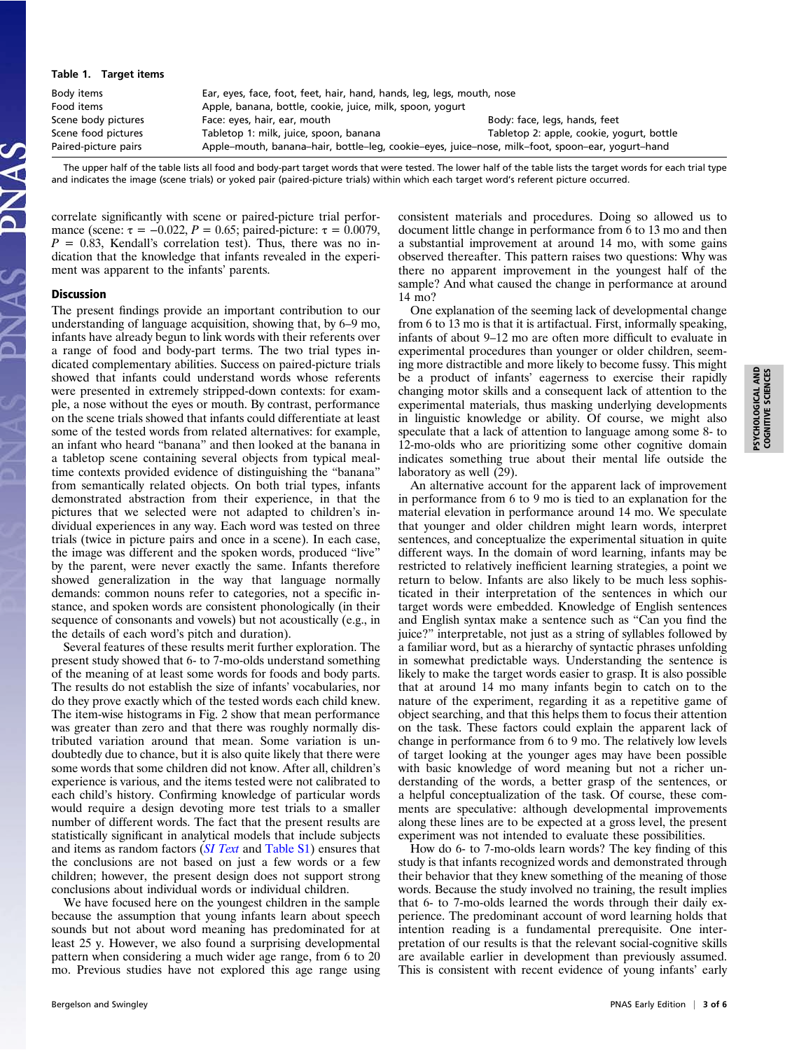## PSYCHOLOGICAL AND PSYCHOLOGICAL AND<br>COGNITIVE SCIENCES COGNITIVE SCIENCES

#### Table 1. Target items

| Body items           | Ear, eyes, face, foot, feet, hair, hand, hands, leg, legs, mouth, nose                           |                                           |  |  |  |
|----------------------|--------------------------------------------------------------------------------------------------|-------------------------------------------|--|--|--|
| Food items           | Apple, banana, bottle, cookie, juice, milk, spoon, yogurt                                        |                                           |  |  |  |
| Scene body pictures  | Face: eyes, hair, ear, mouth                                                                     | Body: face, legs, hands, feet             |  |  |  |
| Scene food pictures  | Tabletop 1: milk, juice, spoon, banana                                                           | Tabletop 2: apple, cookie, yogurt, bottle |  |  |  |
| Paired-picture pairs | Apple-mouth, banana-hair, bottle-leg, cookie-eyes, juice-nose, milk-foot, spoon-ear, yogurt-hand |                                           |  |  |  |

The upper half of the table lists all food and body-part target words that were tested. The lower half of the table lists the target words for each trial type and indicates the image (scene trials) or yoked pair (paired-picture trials) within which each target word's referent picture occurred.

correlate significantly with scene or paired-picture trial performance (scene:  $\tau = -0.022$ ,  $P = 0.65$ ; paired-picture:  $\tau = 0.0079$ ,  $P = 0.83$ , Kendall's correlation test). Thus, there was no indication that the knowledge that infants revealed in the experiment was apparent to the infants' parents.

#### **Discussion**

The present findings provide an important contribution to our understanding of language acquisition, showing that, by 6–9 mo, infants have already begun to link words with their referents over a range of food and body-part terms. The two trial types indicated complementary abilities. Success on paired-picture trials showed that infants could understand words whose referents were presented in extremely stripped-down contexts: for example, a nose without the eyes or mouth. By contrast, performance on the scene trials showed that infants could differentiate at least some of the tested words from related alternatives: for example, an infant who heard "banana" and then looked at the banana in a tabletop scene containing several objects from typical mealtime contexts provided evidence of distinguishing the "banana" from semantically related objects. On both trial types, infants demonstrated abstraction from their experience, in that the pictures that we selected were not adapted to children's individual experiences in any way. Each word was tested on three trials (twice in picture pairs and once in a scene). In each case, the image was different and the spoken words, produced "live" by the parent, were never exactly the same. Infants therefore showed generalization in the way that language normally demands: common nouns refer to categories, not a specific instance, and spoken words are consistent phonologically (in their sequence of consonants and vowels) but not acoustically (e.g., in the details of each word's pitch and duration).

Several features of these results merit further exploration. The present study showed that 6- to 7-mo-olds understand something of the meaning of at least some words for foods and body parts. The results do not establish the size of infants' vocabularies, nor do they prove exactly which of the tested words each child knew. The item-wise histograms in Fig. 2 show that mean performance was greater than zero and that there was roughly normally distributed variation around that mean. Some variation is undoubtedly due to chance, but it is also quite likely that there were some words that some children did not know. After all, children's experience is various, and the items tested were not calibrated to each child's history. Confirming knowledge of particular words would require a design devoting more test trials to a smaller number of different words. The fact that the present results are statistically significant in analytical models that include subjects and items as random factors ([SI Text](http://www.pnas.org/lookup/suppl/doi:10.1073/pnas.1113380109/-/DCSupplemental/pnas.201113380SI.pdf?targetid=nameddest=STXT) and [Table S1](http://www.pnas.org/lookup/suppl/doi:10.1073/pnas.1113380109/-/DCSupplemental/pnas.201113380SI.pdf?targetid=nameddest=ST1)) ensures that the conclusions are not based on just a few words or a few children; however, the present design does not support strong conclusions about individual words or individual children.

We have focused here on the youngest children in the sample because the assumption that young infants learn about speech sounds but not about word meaning has predominated for at least 25 y. However, we also found a surprising developmental pattern when considering a much wider age range, from 6 to 20 mo. Previous studies have not explored this age range using consistent materials and procedures. Doing so allowed us to document little change in performance from 6 to 13 mo and then a substantial improvement at around 14 mo, with some gains observed thereafter. This pattern raises two questions: Why was there no apparent improvement in the youngest half of the sample? And what caused the change in performance at around 14 mo?

One explanation of the seeming lack of developmental change from 6 to 13 mo is that it is artifactual. First, informally speaking, infants of about 9–12 mo are often more difficult to evaluate in experimental procedures than younger or older children, seeming more distractible and more likely to become fussy. This might be a product of infants' eagerness to exercise their rapidly changing motor skills and a consequent lack of attention to the experimental materials, thus masking underlying developments in linguistic knowledge or ability. Of course, we might also speculate that a lack of attention to language among some 8- to 12-mo-olds who are prioritizing some other cognitive domain indicates something true about their mental life outside the laboratory as well (29).

An alternative account for the apparent lack of improvement in performance from 6 to 9 mo is tied to an explanation for the material elevation in performance around 14 mo. We speculate that younger and older children might learn words, interpret sentences, and conceptualize the experimental situation in quite different ways. In the domain of word learning, infants may be restricted to relatively inefficient learning strategies, a point we return to below. Infants are also likely to be much less sophisticated in their interpretation of the sentences in which our target words were embedded. Knowledge of English sentences and English syntax make a sentence such as "Can you find the juice?" interpretable, not just as a string of syllables followed by a familiar word, but as a hierarchy of syntactic phrases unfolding in somewhat predictable ways. Understanding the sentence is likely to make the target words easier to grasp. It is also possible that at around 14 mo many infants begin to catch on to the nature of the experiment, regarding it as a repetitive game of object searching, and that this helps them to focus their attention on the task. These factors could explain the apparent lack of change in performance from 6 to 9 mo. The relatively low levels of target looking at the younger ages may have been possible with basic knowledge of word meaning but not a richer understanding of the words, a better grasp of the sentences, or a helpful conceptualization of the task. Of course, these comments are speculative: although developmental improvements along these lines are to be expected at a gross level, the present experiment was not intended to evaluate these possibilities.

How do 6- to 7-mo-olds learn words? The key finding of this study is that infants recognized words and demonstrated through their behavior that they knew something of the meaning of those words. Because the study involved no training, the result implies that 6- to 7-mo-olds learned the words through their daily experience. The predominant account of word learning holds that intention reading is a fundamental prerequisite. One interpretation of our results is that the relevant social-cognitive skills are available earlier in development than previously assumed. This is consistent with recent evidence of young infants' early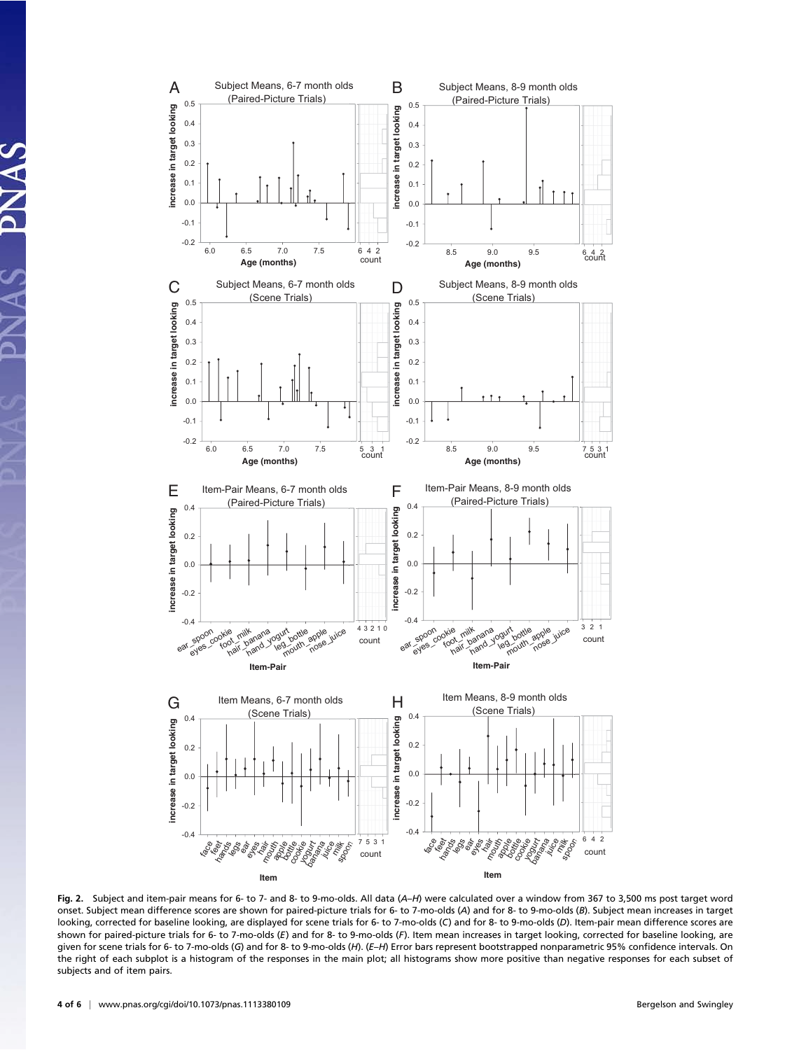

Fig. 2. Subject and item-pair means for 6- to 7- and 8- to 9-mo-olds. All data (A–H) were calculated over a window from 367 to 3,500 ms post target word onset. Subject mean difference scores are shown for paired-picture trials for 6- to 7-mo-olds (A) and for 8- to 9-mo-olds (B). Subject mean increases in target looking, corrected for baseline looking, are displayed for scene trials for 6- to 7-mo-olds (C) and for 8- to 9-mo-olds (D). Item-pair mean difference scores are shown for paired-picture trials for 6- to 7-mo-olds (E) and for 8- to 9-mo-olds (F). Item mean increases in target looking, corrected for baseline looking, are given for scene trials for 6- to 7-mo-olds (G) and for 8- to 9-mo-olds (H). (E–H) Error bars represent bootstrapped nonparametric 95% confidence intervals. On the right of each subplot is a histogram of the responses in the main plot; all histograms show more positive than negative responses for each subset of subjects and of item pairs.

VAV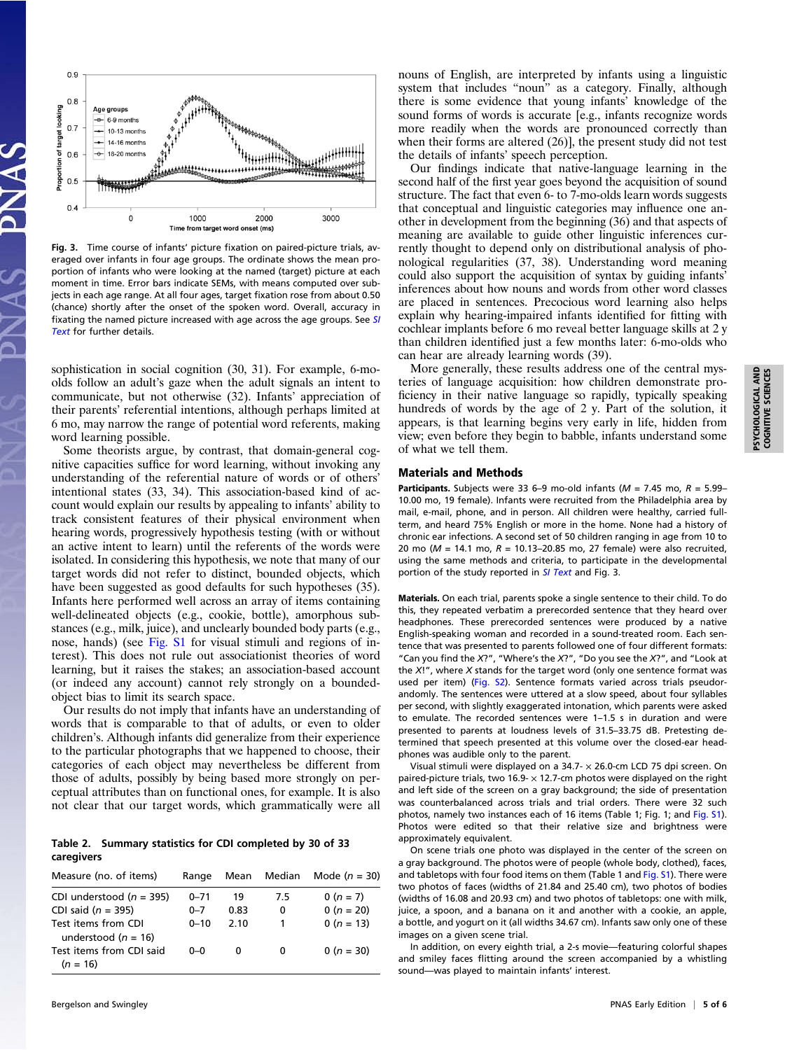

Fig. 3. Time course of infants' picture fixation on paired-picture trials, averaged over infants in four age groups. The ordinate shows the mean proportion of infants who were looking at the named (target) picture at each moment in time. Error bars indicate SEMs, with means computed over subjects in each age range. At all four ages, target fixation rose from about 0.50 (chance) shortly after the onset of the spoken word. Overall, accuracy in fixating the named picture increased with age across the age groups. See [SI](http://www.pnas.org/lookup/suppl/doi:10.1073/pnas.1113380109/-/DCSupplemental/pnas.201113380SI.pdf?targetid=nameddest=STXT) [Text](http://www.pnas.org/lookup/suppl/doi:10.1073/pnas.1113380109/-/DCSupplemental/pnas.201113380SI.pdf?targetid=nameddest=STXT) for further details.

sophistication in social cognition (30, 31). For example, 6-moolds follow an adult's gaze when the adult signals an intent to communicate, but not otherwise (32). Infants' appreciation of their parents' referential intentions, although perhaps limited at 6 mo, may narrow the range of potential word referents, making word learning possible.

Some theorists argue, by contrast, that domain-general cognitive capacities suffice for word learning, without invoking any understanding of the referential nature of words or of others' intentional states (33, 34). This association-based kind of account would explain our results by appealing to infants' ability to track consistent features of their physical environment when hearing words, progressively hypothesis testing (with or without an active intent to learn) until the referents of the words were isolated. In considering this hypothesis, we note that many of our target words did not refer to distinct, bounded objects, which have been suggested as good defaults for such hypotheses (35). Infants here performed well across an array of items containing well-delineated objects (e.g., cookie, bottle), amorphous substances (e.g., milk, juice), and unclearly bounded body parts (e.g., nose, hands) (see [Fig. S1](http://www.pnas.org/lookup/suppl/doi:10.1073/pnas.1113380109/-/DCSupplemental/pnas.201113380SI.pdf?targetid=nameddest=SF1) for visual stimuli and regions of interest). This does not rule out associationist theories of word learning, but it raises the stakes; an association-based account (or indeed any account) cannot rely strongly on a boundedobject bias to limit its search space.

Our results do not imply that infants have an understanding of words that is comparable to that of adults, or even to older children's. Although infants did generalize from their experience to the particular photographs that we happened to choose, their categories of each object may nevertheless be different from those of adults, possibly by being based more strongly on perceptual attributes than on functional ones, for example. It is also not clear that our target words, which grammatically were all

Table 2. Summary statistics for CDI completed by 30 of 33 caregivers

| Measure (no. of items)                         | Range    |      | Mean Median | Mode $(n = 30)$ |
|------------------------------------------------|----------|------|-------------|-----------------|
| CDI understood ( $n = 395$ )                   | $0 - 71$ | 19   | 7.5         | $0(n = 7)$      |
| CDI said $(n = 395)$                           | $0 - 7$  | 0.83 | 0           | $0 (n = 20)$    |
| Test items from CDI<br>understood ( $n = 16$ ) | $0 - 10$ | 2.10 |             | $0 (n = 13)$    |
| Test items from CDI said<br>$(n = 16)$         | $0 - 0$  | 0    | 0           | 0 ( $n = 30$ )  |

nouns of English, are interpreted by infants using a linguistic system that includes "noun" as a category. Finally, although there is some evidence that young infants' knowledge of the sound forms of words is accurate [e.g., infants recognize words more readily when the words are pronounced correctly than when their forms are altered (26)], the present study did not test the details of infants' speech perception.

Our findings indicate that native-language learning in the second half of the first year goes beyond the acquisition of sound structure. The fact that even 6- to 7-mo-olds learn words suggests that conceptual and linguistic categories may influence one another in development from the beginning (36) and that aspects of meaning are available to guide other linguistic inferences currently thought to depend only on distributional analysis of phonological regularities (37, 38). Understanding word meaning could also support the acquisition of syntax by guiding infants' inferences about how nouns and words from other word classes are placed in sentences. Precocious word learning also helps explain why hearing-impaired infants identified for fitting with cochlear implants before 6 mo reveal better language skills at 2 y than children identified just a few months later: 6-mo-olds who can hear are already learning words (39).

More generally, these results address one of the central mysteries of language acquisition: how children demonstrate proficiency in their native language so rapidly, typically speaking hundreds of words by the age of 2 y. Part of the solution, it appears, is that learning begins very early in life, hidden from view; even before they begin to babble, infants understand some of what we tell them.

#### Materials and Methods

Participants. Subjects were 33 6–9 mo-old infants ( $M = 7.45$  mo,  $R = 5.99$ – 10.00 mo, 19 female). Infants were recruited from the Philadelphia area by mail, e-mail, phone, and in person. All children were healthy, carried fullterm, and heard 75% English or more in the home. None had a history of chronic ear infections. A second set of 50 children ranging in age from 10 to 20 mo ( $M = 14.1$  mo,  $R = 10.13 - 20.85$  mo, 27 female) were also recruited, using the same methods and criteria, to participate in the developmental portion of the study reported in **[SI Text](http://www.pnas.org/lookup/suppl/doi:10.1073/pnas.1113380109/-/DCSupplemental/pnas.201113380SI.pdf?targetid=nameddest=STXT)** and Fig. 3.

Materials. On each trial, parents spoke a single sentence to their child. To do this, they repeated verbatim a prerecorded sentence that they heard over headphones. These prerecorded sentences were produced by a native English-speaking woman and recorded in a sound-treated room. Each sentence that was presented to parents followed one of four different formats: "Can you find the X?", "Where's the X?", "Do you see the X?", and "Look at the X!", where X stands for the target word (only one sentence format was used per item) ([Fig. S2](http://www.pnas.org/lookup/suppl/doi:10.1073/pnas.1113380109/-/DCSupplemental/pnas.201113380SI.pdf?targetid=nameddest=SF2)). Sentence formats varied across trials pseudorandomly. The sentences were uttered at a slow speed, about four syllables per second, with slightly exaggerated intonation, which parents were asked to emulate. The recorded sentences were 1–1.5 s in duration and were presented to parents at loudness levels of 31.5–33.75 dB. Pretesting determined that speech presented at this volume over the closed-ear headphones was audible only to the parent.

Visual stimuli were displayed on a 34.7- × 26.0-cm LCD 75 dpi screen. On paired-picture trials, two 16.9- $\times$  12.7-cm photos were displayed on the right and left side of the screen on a gray background; the side of presentation was counterbalanced across trials and trial orders. There were 32 such photos, namely two instances each of 16 items (Table 1; Fig. 1; and [Fig. S1\)](http://www.pnas.org/lookup/suppl/doi:10.1073/pnas.1113380109/-/DCSupplemental/pnas.201113380SI.pdf?targetid=nameddest=SF1). Photos were edited so that their relative size and brightness were approximately equivalent.

On scene trials one photo was displayed in the center of the screen on a gray background. The photos were of people (whole body, clothed), faces, and tabletops with four food items on them (Table 1 and [Fig. S1](http://www.pnas.org/lookup/suppl/doi:10.1073/pnas.1113380109/-/DCSupplemental/pnas.201113380SI.pdf?targetid=nameddest=SF1)). There were two photos of faces (widths of 21.84 and 25.40 cm), two photos of bodies (widths of 16.08 and 20.93 cm) and two photos of tabletops: one with milk, juice, a spoon, and a banana on it and another with a cookie, an apple, a bottle, and yogurt on it (all widths 34.67 cm). Infants saw only one of these images on a given scene trial.

In addition, on every eighth trial, a 2-s movie—featuring colorful shapes and smiley faces flitting around the screen accompanied by a whistling sound—was played to maintain infants' interest.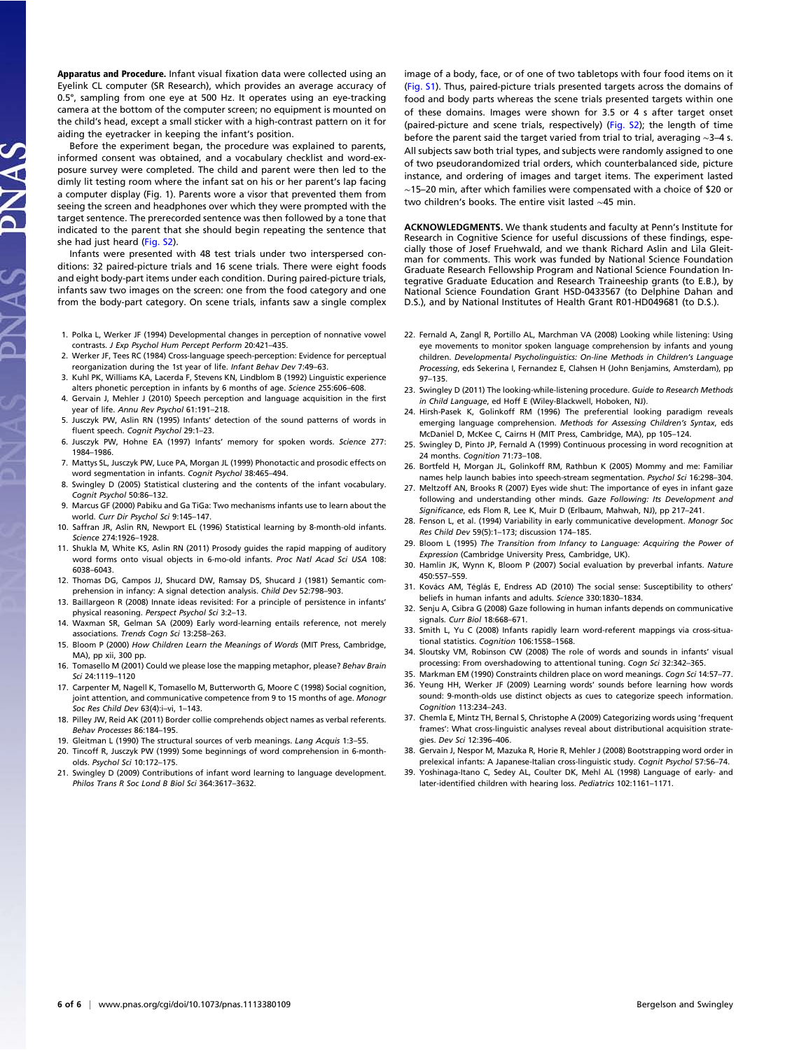Apparatus and Procedure. Infant visual fixation data were collected using an Eyelink CL computer (SR Research), which provides an average accuracy of 0.5°, sampling from one eye at 500 Hz. It operates using an eye-tracking camera at the bottom of the computer screen; no equipment is mounted on the child's head, except a small sticker with a high-contrast pattern on it for aiding the eyetracker in keeping the infant's position.

Before the experiment began, the procedure was explained to parents, informed consent was obtained, and a vocabulary checklist and word-exposure survey were completed. The child and parent were then led to the dimly lit testing room where the infant sat on his or her parent's lap facing a computer display (Fig. 1). Parents wore a visor that prevented them from seeing the screen and headphones over which they were prompted with the target sentence. The prerecorded sentence was then followed by a tone that indicated to the parent that she should begin repeating the sentence that she had just heard ([Fig. S2\)](http://www.pnas.org/lookup/suppl/doi:10.1073/pnas.1113380109/-/DCSupplemental/pnas.201113380SI.pdf?targetid=nameddest=SF2).

Infants were presented with 48 test trials under two interspersed conditions: 32 paired-picture trials and 16 scene trials. There were eight foods and eight body-part items under each condition. During paired-picture trials, infants saw two images on the screen: one from the food category and one from the body-part category. On scene trials, infants saw a single complex

- 1. Polka L, Werker JF (1994) Developmental changes in perception of nonnative vowel contrasts. J Exp Psychol Hum Percept Perform 20:421–435.
- 2. Werker JF, Tees RC (1984) Cross-language speech-perception: Evidence for perceptual reorganization during the 1st year of life. Infant Behav Dev 7:49–63.
- 3. Kuhl PK, Williams KA, Lacerda F, Stevens KN, Lindblom B (1992) Linguistic experience alters phonetic perception in infants by 6 months of age. Science 255:606–608.
- 4. Gervain J, Mehler J (2010) Speech perception and language acquisition in the first year of life. Annu Rev Psychol 61:191–218.
- 5. Jusczyk PW, Aslin RN (1995) Infants' detection of the sound patterns of words in fluent speech. Cognit Psychol 29:1–23.
- 6. Jusczyk PW, Hohne EA (1997) Infants' memory for spoken words. Science 277: 1984–1986.
- 7. Mattys SL, Jusczyk PW, Luce PA, Morgan JL (1999) Phonotactic and prosodic effects on word segmentation in infants. Cognit Psychol 38:465–494.
- 8. Swingley D (2005) Statistical clustering and the contents of the infant vocabulary. Cognit Psychol 50:86–132.
- 9. Marcus GF (2000) Pabiku and Ga TiGa: Two mechanisms infants use to learn about the world. Curr Dir Psychol Sci 9:145–147.
- 10. Saffran JR, Aslin RN, Newport EL (1996) Statistical learning by 8-month-old infants. Science 274:1926–1928.
- 11. Shukla M, White KS, Aslin RN (2011) Prosody guides the rapid mapping of auditory word forms onto visual objects in 6-mo-old infants. Proc Natl Acad Sci USA 108: 6038–6043.
- 12. Thomas DG, Campos JJ, Shucard DW, Ramsay DS, Shucard J (1981) Semantic comprehension in infancy: A signal detection analysis. Child Dev 52:798–903.
- 13. Baillargeon R (2008) Innate ideas revisited: For a principle of persistence in infants' physical reasoning. Perspect Psychol Sci 3:2–13.
- 14. Waxman SR, Gelman SA (2009) Early word-learning entails reference, not merely associations. Trends Cogn Sci 13:258–263.
- 15. Bloom P (2000) How Children Learn the Meanings of Words (MIT Press, Cambridge, MA), pp xii, 300 pp.
- 16. Tomasello M (2001) Could we please lose the mapping metaphor, please? Behav Brain Sci 24:1119–1120
- 17. Carpenter M, Nagell K, Tomasello M, Butterworth G, Moore C (1998) Social cognition, joint attention, and communicative competence from 9 to 15 months of age. Monogr Soc Res Child Dev 63(4):i–vi, 1–143.
- 18. Pilley JW, Reid AK (2011) Border collie comprehends object names as verbal referents. Behav Processes 86:184–195.
- 19. Gleitman L (1990) The structural sources of verb meanings. Lang Acquis 1:3-55. 20. Tincoff R, Jusczyk PW (1999) Some beginnings of word comprehension in 6-montholds. Psychol Sci 10:172–175.
- 21. Swingley D (2009) Contributions of infant word learning to language development. Philos Trans R Soc Lond B Biol Sci 364:3617–3632.

image of a body, face, or of one of two tabletops with four food items on it ([Fig. S1\)](http://www.pnas.org/lookup/suppl/doi:10.1073/pnas.1113380109/-/DCSupplemental/pnas.201113380SI.pdf?targetid=nameddest=SF1). Thus, paired-picture trials presented targets across the domains of food and body parts whereas the scene trials presented targets within one of these domains. Images were shown for 3.5 or 4 s after target onset (paired-picture and scene trials, respectively) ([Fig. S2\)](http://www.pnas.org/lookup/suppl/doi:10.1073/pnas.1113380109/-/DCSupplemental/pnas.201113380SI.pdf?targetid=nameddest=SF2); the length of time before the parent said the target varied from trial to trial, averaging ∼3–4 s. All subjects saw both trial types, and subjects were randomly assigned to one of two pseudorandomized trial orders, which counterbalanced side, picture instance, and ordering of images and target items. The experiment lasted ∼15–20 min, after which families were compensated with a choice of \$20 or two children's books. The entire visit lasted ∼45 min.

ACKNOWLEDGMENTS. We thank students and faculty at Penn's Institute for Research in Cognitive Science for useful discussions of these findings, especially those of Josef Fruehwald, and we thank Richard Aslin and Lila Gleitman for comments. This work was funded by National Science Foundation Graduate Research Fellowship Program and National Science Foundation Integrative Graduate Education and Research Traineeship grants (to E.B.), by National Science Foundation Grant HSD-0433567 (to Delphine Dahan and D.S.), and by National Institutes of Health Grant R01-HD049681 (to D.S.).

- 22. Fernald A, Zangl R, Portillo AL, Marchman VA (2008) Looking while listening: Using eye movements to monitor spoken language comprehension by infants and young children. Developmental Psycholinguistics: On-line Methods in Children's Language Processing, eds Sekerina I, Fernandez E, Clahsen H (John Benjamins, Amsterdam), pp 97–135.
- 23. Swingley D (2011) The looking-while-listening procedure. Guide to Research Methods in Child Language, ed Hoff E (Wiley-Blackwell, Hoboken, NJ).
- 24. Hirsh-Pasek K, Golinkoff RM (1996) The preferential looking paradigm reveals emerging language comprehension. Methods for Assessing Children's Syntax, eds McDaniel D, McKee C, Cairns H (MIT Press, Cambridge, MA), pp 105–124.
- 25. Swingley D, Pinto JP, Fernald A (1999) Continuous processing in word recognition at 24 months. Cognition 71:73-108.
- 26. Bortfeld H, Morgan JL, Golinkoff RM, Rathbun K (2005) Mommy and me: Familiar names help launch babies into speech-stream segmentation. Psychol Sci 16:298–304.
- 27. Meltzoff AN, Brooks R (2007) Eyes wide shut: The importance of eyes in infant gaze following and understanding other minds. Gaze Following: Its Development and Significance, eds Flom R, Lee K, Muir D (Erlbaum, Mahwah, NJ), pp 217–241.
- 28. Fenson L, et al. (1994) Variability in early communicative development. Monogr Soc Res Child Dev 59(5):1–173; discussion 174–185.
- 29. Bloom L (1995) The Transition from Infancy to Language: Acquiring the Power of Expression (Cambridge University Press, Cambridge, UK).
- 30. Hamlin JK, Wynn K, Bloom P (2007) Social evaluation by preverbal infants. Nature 450:557–559.
- 31. Kovács AM, Téglás E, Endress AD (2010) The social sense: Susceptibility to others' beliefs in human infants and adults. Science 330:1830–1834.
- 32. Senju A, Csibra G (2008) Gaze following in human infants depends on communicative signals. Curr Biol 18:668–671.
- 33. Smith L, Yu C (2008) Infants rapidly learn word-referent mappings via cross-situational statistics. Cognition 106:1558–1568.
- 34. Sloutsky VM, Robinson CW (2008) The role of words and sounds in infants' visual processing: From overshadowing to attentional tuning. Cogn Sci 32:342–365.
- 35. Markman EM (1990) Constraints children place on word meanings. Cogn Sci 14:57–77. 36. Yeung HH, Werker JF (2009) Learning words' sounds before learning how words
- sound: 9-month-olds use distinct objects as cues to categorize speech information. Cognition 113:234–243. 37. Chemla E, Mintz TH, Bernal S, Christophe A (2009) Categorizing words using 'frequent
- frames': What cross-linguistic analyses reveal about distributional acquisition strategies. Dev Sci 12:396–406.
- 38. Gervain J, Nespor M, Mazuka R, Horie R, Mehler J (2008) Bootstrapping word order in prelexical infants: A Japanese-Italian cross-linguistic study. Cognit Psychol 57:56–74.
- 39. Yoshinaga-Itano C, Sedey AL, Coulter DK, Mehl AL (1998) Language of early- and later-identified children with hearing loss. Pediatrics 102:1161–1171.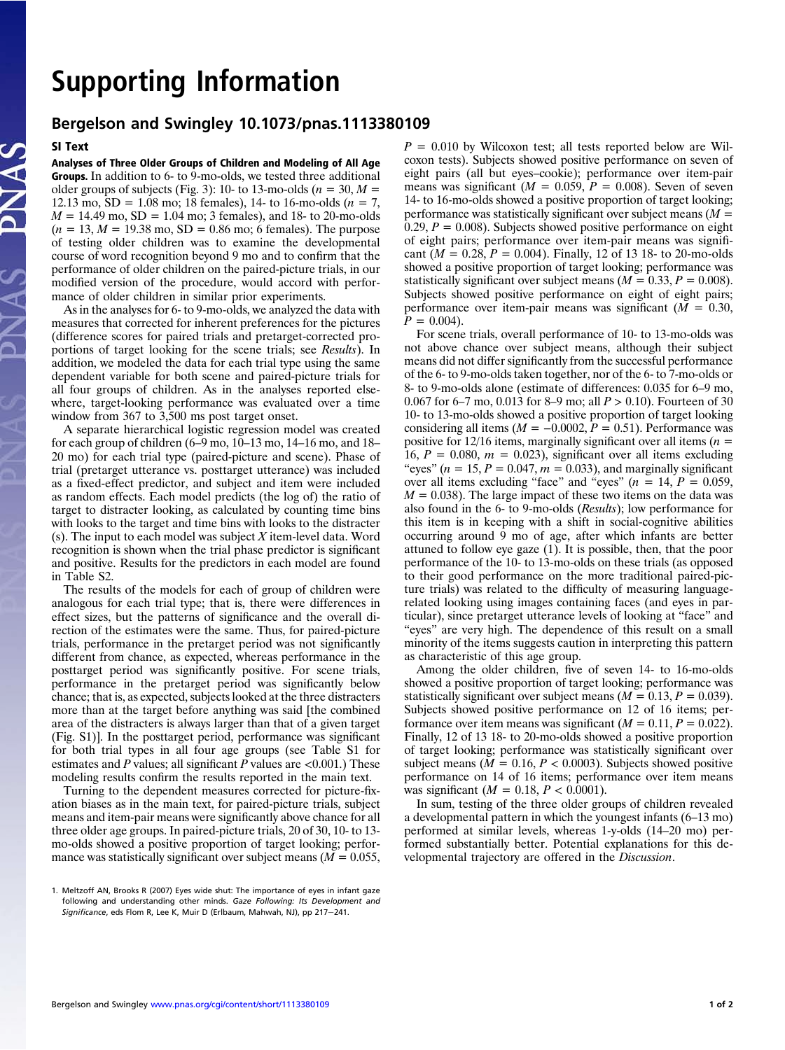### Supporting Information

### Bergelson and Swingley 10.1073/pnas.1113380109

#### SI Text

Analyses of Three Older Groups of Children and Modeling of All Age Groups. In addition to 6- to 9-mo-olds, we tested three additional older groups of subjects (Fig. 3): 10- to 13-mo-olds ( $n = 30, M =$ 12.13 mo,  $SD = 1.08$  mo; 18 females), 14- to 16-mo-olds ( $n = 7$ ,  $M = 14.49 \text{ mo}, SD = 1.04 \text{ mo}; 3 \text{ females}, and 18 \text{ to } 20 \text{ -mo-olds}$  $(n = 13, M = 19.38 \text{ mo}, SD = 0.86 \text{ mo}; 6 \text{ females}).$  The purpose of testing older children was to examine the developmental course of word recognition beyond 9 mo and to confirm that the performance of older children on the paired-picture trials, in our modified version of the procedure, would accord with performance of older children in similar prior experiments.

As in the analyses for 6- to 9-mo-olds, we analyzed the data with measures that corrected for inherent preferences for the pictures (difference scores for paired trials and pretarget-corrected proportions of target looking for the scene trials; see Results). In addition, we modeled the data for each trial type using the same dependent variable for both scene and paired-picture trials for all four groups of children. As in the analyses reported elsewhere, target-looking performance was evaluated over a time window from 367 to 3,500 ms post target onset.

A separate hierarchical logistic regression model was created for each group of children (6–9 mo, 10–13 mo, 14–16 mo, and 18– 20 mo) for each trial type (paired-picture and scene). Phase of trial (pretarget utterance vs. posttarget utterance) was included as a fixed-effect predictor, and subject and item were included as random effects. Each model predicts (the log of) the ratio of target to distracter looking, as calculated by counting time bins with looks to the target and time bins with looks to the distracter (s). The input to each model was subject  $X$  item-level data. Word recognition is shown when the trial phase predictor is significant and positive. Results for the predictors in each model are found in Table S2.

The results of the models for each of group of children were analogous for each trial type; that is, there were differences in effect sizes, but the patterns of significance and the overall direction of the estimates were the same. Thus, for paired-picture trials, performance in the pretarget period was not significantly different from chance, as expected, whereas performance in the posttarget period was significantly positive. For scene trials, performance in the pretarget period was significantly below chance; that is, as expected, subjects looked at the three distracters more than at the target before anything was said [the combined area of the distracters is always larger than that of a given target (Fig. S1)]. In the posttarget period, performance was significant for both trial types in all four age groups (see Table S1 for estimates and P values; all significant P values are  $\leq 0.001$ .) These modeling results confirm the results reported in the main text.

Turning to the dependent measures corrected for picture-fixation biases as in the main text, for paired-picture trials, subject means and item-pair means were significantly above chance for all three older age groups. In paired-picture trials, 20 of 30, 10- to 13 mo-olds showed a positive proportion of target looking; performance was statistically significant over subject means ( $M = 0.055$ ,

 $P = 0.010$  by Wilcoxon test; all tests reported below are Wilcoxon tests). Subjects showed positive performance on seven of eight pairs (all but eyes–cookie); performance over item-pair means was significant  $(M = 0.059, P = 0.008)$ . Seven of seven 14- to 16-mo-olds showed a positive proportion of target looking; performance was statistically significant over subject means  $(M =$ 0.29,  $P = 0.008$ ). Subjects showed positive performance on eight of eight pairs; performance over item-pair means was significant ( $M = 0.28$ ,  $P = 0.004$ ). Finally, 12 of 13 18- to 20-mo-olds showed a positive proportion of target looking; performance was statistically significant over subject means ( $M = 0.33, P = 0.008$ ). Subjects showed positive performance on eight of eight pairs; performance over item-pair means was significant  $(M = 0.30,$  $P = 0.004$ .

For scene trials, overall performance of 10- to 13-mo-olds was not above chance over subject means, although their subject means did not differ significantly from the successful performance of the 6- to 9-mo-olds taken together, nor of the 6- to 7-mo-olds or 8- to 9-mo-olds alone (estimate of differences: 0.035 for 6–9 mo, 0.067 for 6–7 mo, 0.013 for 8–9 mo; all  $P > 0.10$ ). Fourteen of 30 10- to 13-mo-olds showed a positive proportion of target looking considering all items ( $M = -0.0002$ ,  $P = 0.51$ ). Performance was positive for 12/16 items, marginally significant over all items ( $n =$ 16,  $P = 0.080$ ,  $m = 0.023$ ), significant over all items excluding "eyes" ( $n = 15$ ,  $P = 0.047$ ,  $m = 0.033$ ), and marginally significant over all items excluding "face" and "eyes" ( $n = 14$ ,  $P = 0.059$ ,  $M = 0.038$ ). The large impact of these two items on the data was also found in the 6- to 9-mo-olds (Results); low performance for this item is in keeping with a shift in social-cognitive abilities occurring around 9 mo of age, after which infants are better attuned to follow eye gaze (1). It is possible, then, that the poor performance of the 10- to 13-mo-olds on these trials (as opposed to their good performance on the more traditional paired-picture trials) was related to the difficulty of measuring languagerelated looking using images containing faces (and eyes in particular), since pretarget utterance levels of looking at "face" and "eyes" are very high. The dependence of this result on a small minority of the items suggests caution in interpreting this pattern as characteristic of this age group.

Among the older children, five of seven 14- to 16-mo-olds showed a positive proportion of target looking; performance was statistically significant over subject means  $(M = 0.13, P = 0.039)$ . Subjects showed positive performance on 12 of 16 items; performance over item means was significant  $(M = 0.11, P = 0.022)$ . Finally, 12 of 13 18- to 20-mo-olds showed a positive proportion of target looking; performance was statistically significant over subject means ( $M = 0.16$ ,  $P < 0.0003$ ). Subjects showed positive performance on 14 of 16 items; performance over item means was significant ( $M = 0.18, P < 0.0001$ ).

In sum, testing of the three older groups of children revealed a developmental pattern in which the youngest infants (6–13 mo) performed at similar levels, whereas 1-y-olds (14–20 mo) performed substantially better. Potential explanations for this developmental trajectory are offered in the Discussion.

<sup>1.</sup> Meltzoff AN, Brooks R (2007) Eyes wide shut: The importance of eyes in infant gaze following and understanding other minds. Gaze Following: Its Development and Significance, eds Flom R, Lee K, Muir D (Erlbaum, Mahwah, NJ), pp 217-241.